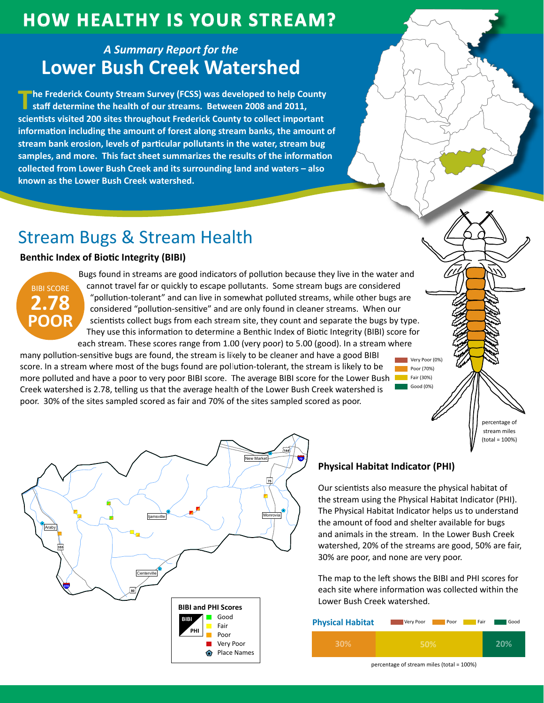## **HOW HEALTHY IS YOUR STREAM?**

### A Summary Report for the **Lower Bush Creek Watershed**

The Frederick County Stream Survey (FCSS) was developed to help County staff determine the health of our streams. Between 2008 and 2011, scientists visited 200 sites throughout Frederick County to collect important information including the amount of forest along stream banks, the amount of stream bank erosion, levels of particular pollutants in the water, stream bug samples, and more. This fact sheet summarizes the results of the information collected from Lower Bush Creek and its surrounding land and waters - also known as the Lower Bush Creek watershed.

## **Stream Bugs & Stream Health**

#### **Benthic Index of Biotic Integrity (BIBI)**



Bugs found in streams are good indicators of pollution because they live in the water and cannot travel far or quickly to escape pollutants. Some stream bugs are considered "pollution-tolerant" and can live in somewhat polluted streams, while other bugs are considered "pollution-sensitive" and are only found in cleaner streams. When our scientists collect bugs from each stream site, they count and separate the bugs by type. They use this information to determine a Benthic Index of Biotic Integrity (BIBI) score for each stream. These scores range from 1.00 (very poor) to 5.00 (good). In a stream where

many pollution-sensitive bugs are found, the stream is likely to be cleaner and have a good BIBI score. In a stream where most of the bugs found are pollution-tolerant, the stream is likely to be more polluted and have a poor to very poor BIBI score. The average BIBI score for the Lower Bush **The Fair (30%)** Creek watershed is 2.78, telling us that the average health of the Lower Bush Creek watershed is poor. 30% of the sites sampled scored as fair and 70% of the sites sampled scored as poor.



### **Physical Habitat Indicator (PHI)**

Our scientists also measure the physical habitat of the stream using the Physical Habitat Indicator (PHI). The Physical Habitat Indicator helps us to understand the amount of food and shelter available for bugs and animals in the stream. In the Lower Bush Creek watershed, 20% of the streams are good, 50% are fair, 30% are poor, and none are very poor.

Very Poor (0%)

Poor (70%)

Good (0%)

nercentage of stream miles  $(total = 100%)$ 

The map to the left shows the BIBI and PHI scores for each site where information was collected within the Lower Bush Creek watershed.

| <b>Physical Habitat</b> | Very Poor<br>Poor | Fair<br>Good |
|-------------------------|-------------------|--------------|
| <b>30%</b>              | <b>50%</b>        | 20%          |

percentage of stream miles (total = 100%)